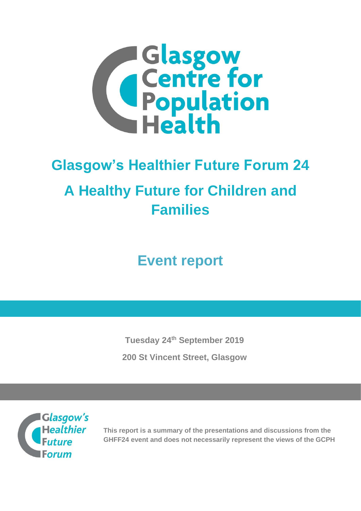

# **Glasgow's Healthier Future Forum 24 A Healthy Future for Children and Families**

**Event report**

**Tuesday 24th September 2019 200 St Vincent Street, Glasgow**



**This report is a summary of the presentations and discussions from the GHFF24 event and does not necessarily represent the views of the GCPH**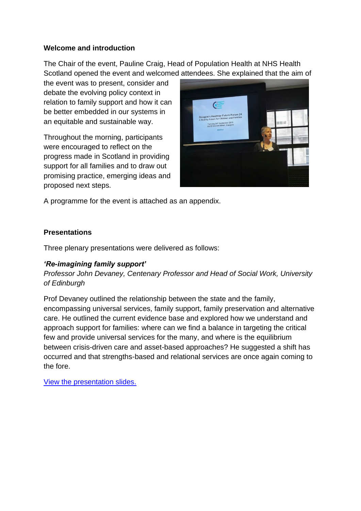#### **Welcome and introduction**

The Chair of the event, Pauline Craig, Head of Population Health at NHS Health Scotland opened the event and welcomed attendees. She explained that the aim of

the event was to present, consider and debate the evolving policy context in relation to family support and how it can be better embedded in our systems in an equitable and sustainable way.

Throughout the morning, participants were encouraged to reflect on the progress made in Scotland in providing support for all families and to draw out promising practice, emerging ideas and proposed next steps.



A programme for the event is attached as an appendix.

# **Presentations**

Three plenary presentations were delivered as follows:

# *'Re-imagining family support'*

*Professor John Devaney, Centenary Professor and Head of Social Work, University of Edinburgh*

Prof Devaney outlined the relationship between the state and the family, encompassing universal services, family support, family preservation and alternative care. He outlined the current evidence base and explored how we understand and approach support for families: where can we find a balance in targeting the critical few and provide universal services for the many, and where is the equilibrium between crisis-driven care and asset-based approaches? He suggested a shift has occurred and that strengths-based and relational services are once again coming to the fore.

[View the presentation](https://www.gcph.co.uk/assets/0000/7637/John_Devaney_GHFF_-_Reimagining_Family_Support_-_Devaney_24th_Sept_2019.pdf) slides.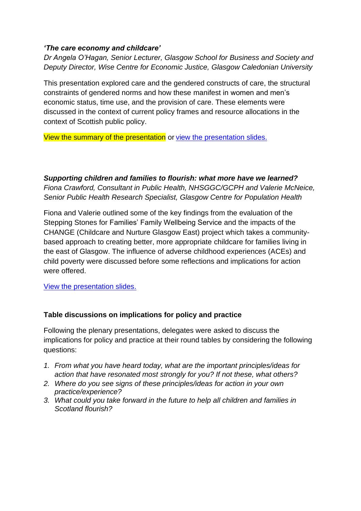#### *'The care economy and childcare'*

*Dr Angela O'Hagan, Senior Lecturer, Glasgow School for Business and Society and Deputy Director, Wise Centre for Economic Justice, Glasgow Caledonian University*

This presentation explored care and the gendered constructs of care, the structural constraints of gendered norms and how these manifest in women and men's economic status, time use, and the provision of care. These elements were discussed in the context of current policy frames and resource allocations in the context of Scottish public policy.

View the summary of the presentation or [view the presentation](https://www.gcph.co.uk/assets/0000/7638/Angela_O_Hagan_GCPH_240919_AOH.pdf) slides.

*Supporting children and families to flourish: what more have we learned? Fiona Crawford, Consultant in Public Health, NHSGGC/GCPH and Valerie McNeice, Senior Public Health Research Specialist, Glasgow Centre for Population Health*

Fiona and Valerie outlined some of the key findings from the evaluation of the Stepping Stones for Families' Family Wellbeing Service and the impacts of the CHANGE (Childcare and Nurture Glasgow East) project which takes a communitybased approach to creating better, more appropriate childcare for families living in the east of Glasgow. The influence of adverse childhood experiences (ACEs) and child poverty were discussed before some reflections and implications for action were offered.

[View the presentation](https://www.gcph.co.uk/assets/0000/7636/GCPH_Supporting_children_and_families_to_flourish2_FINAL.pdf) slides.

# **Table discussions on implications for policy and practice**

Following the plenary presentations, delegates were asked to discuss the implications for policy and practice at their round tables by considering the following questions:

- *1. From what you have heard today, what are the important principles/ideas for action that have resonated most strongly for you? If not these, what others?*
- *2. Where do you see signs of these principles/ideas for action in your own practice/experience?*
- *3. What could you take forward in the future to help all children and families in Scotland flourish?*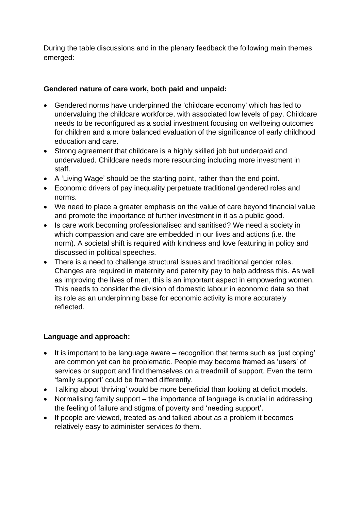During the table discussions and in the plenary feedback the following main themes emerged:

# **Gendered nature of care work, both paid and unpaid:**

- Gendered norms have underpinned the 'childcare economy' which has led to undervaluing the childcare workforce, with associated low levels of pay. Childcare needs to be reconfigured as a social investment focusing on wellbeing outcomes for children and a more balanced evaluation of the significance of early childhood education and care.
- Strong agreement that childcare is a highly skilled job but underpaid and undervalued. Childcare needs more resourcing including more investment in staff.
- A 'Living Wage' should be the starting point, rather than the end point.
- Economic drivers of pay inequality perpetuate traditional gendered roles and norms.
- We need to place a greater emphasis on the value of care beyond financial value and promote the importance of further investment in it as a public good.
- Is care work becoming professionalised and sanitised? We need a society in which compassion and care are embedded in our lives and actions (i.e. the norm). A societal shift is required with kindness and love featuring in policy and discussed in political speeches.
- There is a need to challenge structural issues and traditional gender roles. Changes are required in maternity and paternity pay to help address this. As well as improving the lives of men, this is an important aspect in empowering women. This needs to consider the division of domestic labour in economic data so that its role as an underpinning base for economic activity is more accurately reflected.

# **Language and approach:**

- It is important to be language aware recognition that terms such as 'just coping' are common yet can be problematic. People may become framed as 'users' of services or support and find themselves on a treadmill of support. Even the term 'family support' could be framed differently.
- Talking about 'thriving' would be more beneficial than looking at deficit models.
- Normalising family support the importance of language is crucial in addressing the feeling of failure and stigma of poverty and 'needing support'.
- If people are viewed, treated as and talked about as a problem it becomes relatively easy to administer services *to* them.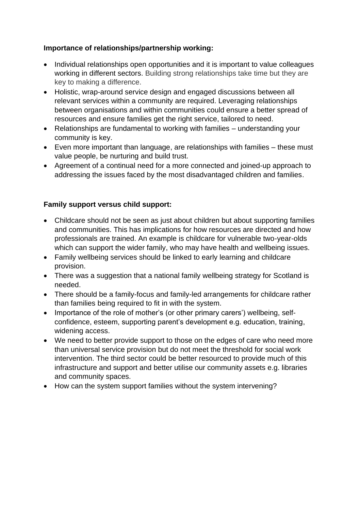# **Importance of relationships/partnership working:**

- Individual relationships open opportunities and it is important to value colleagues working in different sectors. Building strong relationships take time but they are key to making a difference.
- Holistic, wrap-around service design and engaged discussions between all relevant services within a community are required. Leveraging relationships between organisations and within communities could ensure a better spread of resources and ensure families get the right service, tailored to need.
- Relationships are fundamental to working with families understanding your community is key.
- Even more important than language, are relationships with families these must value people, be nurturing and build trust.
- Agreement of a continual need for a more connected and joined-up approach to addressing the issues faced by the most disadvantaged children and families.

# **Family support versus child support:**

- Childcare should not be seen as just about children but about supporting families and communities. This has implications for how resources are directed and how professionals are trained. An example is childcare for vulnerable two-year-olds which can support the wider family, who may have health and wellbeing issues.
- Family wellbeing services should be linked to early learning and childcare provision.
- There was a suggestion that a national family wellbeing strategy for Scotland is needed.
- There should be a family-focus and family-led arrangements for childcare rather than families being required to fit in with the system.
- Importance of the role of mother's (or other primary carers') wellbeing, selfconfidence, esteem, supporting parent's development e.g. education, training, widening access.
- We need to better provide support to those on the edges of care who need more than universal service provision but do not meet the threshold for social work intervention. The third sector could be better resourced to provide much of this infrastructure and support and better utilise our community assets e.g. libraries and community spaces.
- How can the system support families without the system intervening?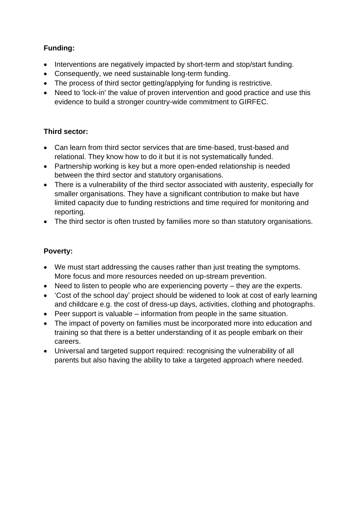# **Funding:**

- Interventions are negatively impacted by short-term and stop/start funding.
- Consequently, we need sustainable long-term funding.
- The process of third sector getting/applying for funding is restrictive.
- Need to 'lock-in' the value of proven intervention and good practice and use this evidence to build a stronger country-wide commitment to GIRFEC.

# **Third sector:**

- Can learn from third sector services that are time-based, trust-based and relational. They know how to do it but it is not systematically funded.
- Partnership working is key but a more open-ended relationship is needed between the third sector and statutory organisations.
- There is a vulnerability of the third sector associated with austerity, especially for smaller organisations. They have a significant contribution to make but have limited capacity due to funding restrictions and time required for monitoring and reporting.
- The third sector is often trusted by families more so than statutory organisations.

# **Poverty:**

- We must start addressing the causes rather than just treating the symptoms. More focus and more resources needed on up-stream prevention.
- Need to listen to people who are experiencing poverty they are the experts.
- 'Cost of the school day' project should be widened to look at cost of early learning and childcare e.g. the cost of dress-up days, activities, clothing and photographs.
- Peer support is valuable information from people in the same situation.
- The impact of poverty on families must be incorporated more into education and training so that there is a better understanding of it as people embark on their careers.
- Universal and targeted support required: recognising the vulnerability of all parents but also having the ability to take a targeted approach where needed.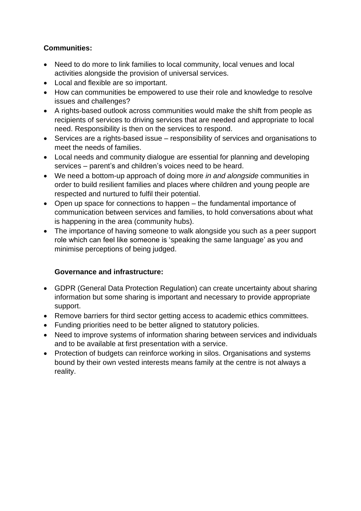# **Communities:**

- Need to do more to link families to local community, local venues and local activities alongside the provision of universal services.
- Local and flexible are so important.
- How can communities be empowered to use their role and knowledge to resolve issues and challenges?
- A rights-based outlook across communities would make the shift from people as recipients of services to driving services that are needed and appropriate to local need. Responsibility is then on the services to respond.
- Services are a rights-based issue responsibility of services and organisations to meet the needs of families.
- Local needs and community dialogue are essential for planning and developing services – parent's and children's voices need to be heard.
- We need a bottom-up approach of doing more *in and alongside* communities in order to build resilient families and places where children and young people are respected and nurtured to fulfil their potential.
- Open up space for connections to happen the fundamental importance of communication between services and families, to hold conversations about what is happening in the area (community hubs).
- The importance of having someone to walk alongside you such as a peer support role which can feel like someone is 'speaking the same language' as you and minimise perceptions of being judged.

# **Governance and infrastructure:**

- GDPR (General Data Protection Regulation) can create uncertainty about sharing information but some sharing is important and necessary to provide appropriate support.
- Remove barriers for third sector getting access to academic ethics committees.
- Funding priorities need to be better aligned to statutory policies.
- Need to improve systems of information sharing between services and individuals and to be available at first presentation with a service.
- Protection of budgets can reinforce working in silos. Organisations and systems bound by their own vested interests means family at the centre is not always a reality.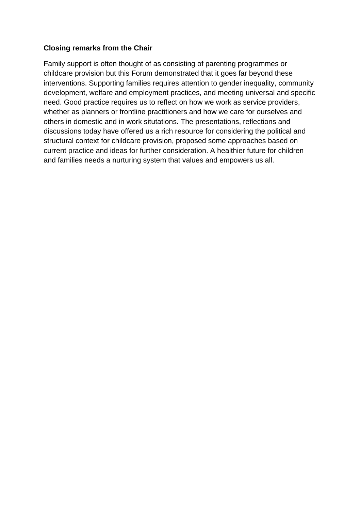#### **Closing remarks from the Chair**

Family support is often thought of as consisting of parenting programmes or childcare provision but this Forum demonstrated that it goes far beyond these interventions. Supporting families requires attention to gender inequality, community development, welfare and employment practices, and meeting universal and specific need. Good practice requires us to reflect on how we work as service providers, whether as planners or frontline practitioners and how we care for ourselves and others in domestic and in work situtations. The presentations, reflections and discussions today have offered us a rich resource for considering the political and structural context for childcare provision, proposed some approaches based on current practice and ideas for further consideration. A healthier future for children and families needs a nurturing system that values and empowers us all.